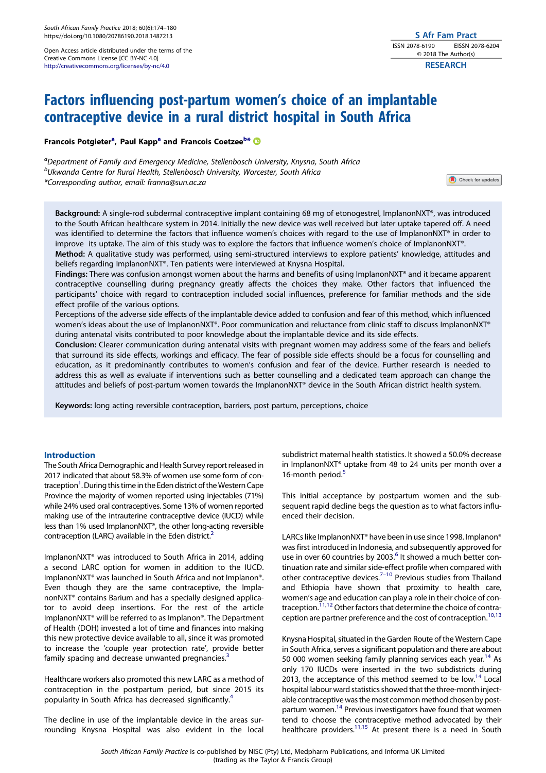<span id="page-0-0"></span>Open Access article distributed under the terms of the Creative Commons License [CC BY-NC 4.0] <http://creativecommons.org/licenses/by-nc/4.0>

# Factors influencing post-partum women's choice of an implantable contraceptive device in a rural district hospital in South Africa

Francois Potgieter<sup>a</sup>, Paul Kapp<sup>a</sup> and Francois Coetzee<sup>b\*</sup>

<sup>a</sup>Department of Family and Emergency Medicine, Stellenbosch University, Knysna, South Africa <sup>b</sup>Ukwanda Centre for Rural Health, Stellenbosch University, Worcester, South Africa \*Corresponding author, email: [franna@sun.ac.za](mailto:franna@sun.ac.za)

Check for updates

Background: A single-rod subdermal contraceptive implant containing 68 mg of etonogestrel, ImplanonNXT®, was introduced to the South African healthcare system in 2014. Initially the new device was well received but later uptake tapered off. A need was identified to determine the factors that influence women's choices with regard to the use of ImplanonNXT® in order to improve its uptake. The aim of this study was to explore the factors that influence women's choice of ImplanonNXT®.

Method: A qualitative study was performed, using semi-structured interviews to explore patients' knowledge, attitudes and beliefs regarding ImplanonNXT®. Ten patients were interviewed at Knysna Hospital.

Findings: There was confusion amongst women about the harms and benefits of using ImplanonNXT® and it became apparent contraceptive counselling during pregnancy greatly affects the choices they make. Other factors that influenced the participants' choice with regard to contraception included social influences, preference for familiar methods and the side effect profile of the various options.

Perceptions of the adverse side effects of the implantable device added to confusion and fear of this method, which influenced women's ideas about the use of ImplanonNXT®. Poor communication and reluctance from clinic staff to discuss ImplanonNXT® during antenatal visits contributed to poor knowledge about the implantable device and its side effects.

Conclusion: Clearer communication during antenatal visits with pregnant women may address some of the fears and beliefs that surround its side effects, workings and efficacy. The fear of possible side effects should be a focus for counselling and education, as it predominantly contributes to women's confusion and fear of the device. Further research is needed to address this as well as evaluate if interventions such as better counselling and a dedicated team approach can change the attitudes and beliefs of post-partum women towards the ImplanonNXT® device in the South African district health system.

Keywords: long acting reversible contraception, barriers, post partum, perceptions, choice

# Introduction

The South Africa Demographic and Health Survey report released in 2017 indicated that about 58.3% of women use some form of contraception<sup>1</sup>. During this time in the Eden district of the Western Cape Province the majority of women reported using injectables (71%) while 24% used oral contraceptives. Some 13% of women reported making use of the intrauterine contraceptive device (IUCD) while less than 1% used ImplanonNXT®, the other long-acting reversible contraception (LARC) available in the Eden district.<sup>[2](#page-5-0)</sup>

ImplanonNXT® was introduced to South Africa in 2014, adding a second LARC option for women in addition to the IUCD. ImplanonNXT® was launched in South Africa and not Implanon®. Even though they are the same contraceptive, the ImplanonNXT® contains Barium and has a specially designed applicator to avoid deep insertions. For the rest of the article ImplanonNXT® will be referred to as Implanon®. The Department of Health (DOH) invested a lot of time and finances into making this new protective device available to all, since it was promoted to increase the 'couple year protection rate', provide better family spacing and decrease unwanted pregnancies.<sup>[3](#page-5-0)</sup>

Healthcare workers also promoted this new LARC as a method of contraception in the postpartum period, but since 2015 its popularity in South Africa has decreased significantly.[4](#page-5-0)

The decline in use of the implantable device in the areas surrounding Knysna Hospital was also evident in the local subdistrict maternal health statistics. It showed a 50.0% decrease in ImplanonNXT® uptake from 48 to 24 units per month over a 16-month period.<sup>[5](#page-5-0)</sup>

This initial acceptance by postpartum women and the subsequent rapid decline begs the question as to what factors influenced their decision.

LARCs like ImplanonNXT® have been in use since 1998. Implanon® was first introduced in Indonesia, and subsequently approved for use in over [6](#page-5-0)0 countries by 2003.<sup>6</sup> It showed a much better continuation rate and similar side-effect profile when compared with other contraceptive devices. $7-10$  Previous studies from Thailand and Ethiopia have shown that proximity to health care, women's age and education can play a role in their choice of con-traception.<sup>[11,12](#page-5-0)</sup> Other factors that determine the choice of contra-ception are partner preference and the cost of contraception.<sup>[10,13](#page-5-0)</sup>

Knysna Hospital, situated in the Garden Route of the Western Cape in South Africa, serves a significant population and there are about 50 000 women seeking family planning services each year.<sup>14</sup> As only 170 IUCDs were inserted in the two subdistricts during 2013, the acceptance of this method seemed to be low.<sup>14</sup> Local hospital labour ward statistics showed that the three-month injectable contraceptive was the most common method chosen by post-partum women.<sup>[14](#page-5-0)</sup> Previous investigators have found that women tend to choose the contraceptive method advocated by their healthcare providers.<sup>[11,15](#page-5-0)</sup> At present there is a need in South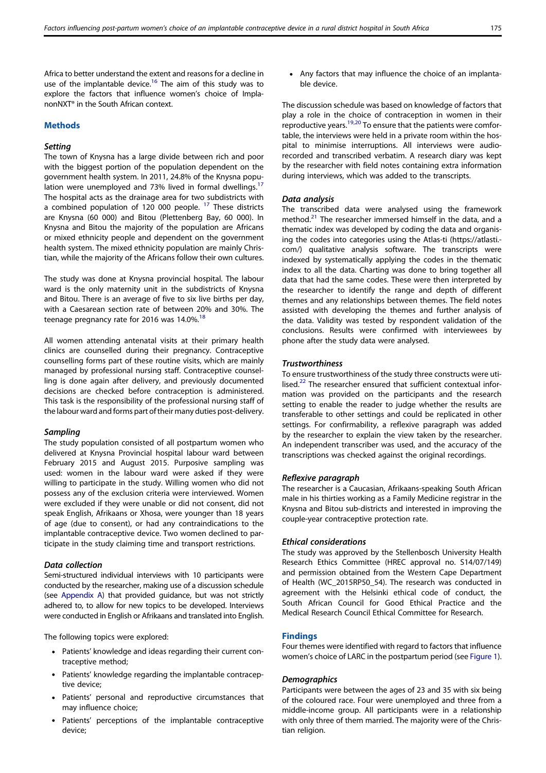<span id="page-1-0"></span>Africa to better understand the extent and reasons for a decline in use of the implantable device.<sup>[16](#page-5-0)</sup> The aim of this study was to explore the factors that influence women's choice of ImplanonNXT® in the South African context.

# Methods

# **Setting**

The town of Knysna has a large divide between rich and poor with the biggest portion of the population dependent on the government health system. In 2011, 24.8% of the Knysna popu-lation were unemployed and 73% lived in formal dwellings.<sup>[17](#page-5-0)</sup> The hospital acts as the drainage area for two subdistricts with a combined population of 120 000 people.<sup>[17](#page-5-0)</sup> These districts are Knysna (60 000) and Bitou (Plettenberg Bay, 60 000). In Knysna and Bitou the majority of the population are Africans or mixed ethnicity people and dependent on the government health system. The mixed ethnicity population are mainly Christian, while the majority of the Africans follow their own cultures.

The study was done at Knysna provincial hospital. The labour ward is the only maternity unit in the subdistricts of Knysna and Bitou. There is an average of five to six live births per day, with a Caesarean section rate of between 20% and 30%. The teenage pregnancy rate for 2016 was  $14.0\%$ .<sup>18</sup>

All women attending antenatal visits at their primary health clinics are counselled during their pregnancy. Contraceptive counselling forms part of these routine visits, which are mainly managed by professional nursing staff. Contraceptive counselling is done again after delivery, and previously documented decisions are checked before contraception is administered. This task is the responsibility of the professional nursing staff of the labour ward and forms part of their many duties post-delivery.

## Sampling

The study population consisted of all postpartum women who delivered at Knysna Provincial hospital labour ward between February 2015 and August 2015. Purposive sampling was used: women in the labour ward were asked if they were willing to participate in the study. Willing women who did not possess any of the exclusion criteria were interviewed. Women were excluded if they were unable or did not consent, did not speak English, Afrikaans or Xhosa, were younger than 18 years of age (due to consent), or had any contraindications to the implantable contraceptive device. Two women declined to participate in the study claiming time and transport restrictions.

# Data collection

Semi-structured individual interviews with 10 participants were conducted by the researcher, making use of a discussion schedule (see [Appendix A](#page-6-0)) that provided guidance, but was not strictly adhered to, to allow for new topics to be developed. Interviews were conducted in English or Afrikaans and translated into English.

The following topics were explored:

- . Patients' knowledge and ideas regarding their current contraceptive method;
- . Patients' knowledge regarding the implantable contraceptive device;
- . Patients' personal and reproductive circumstances that may influence choice;
- Patients' perceptions of the implantable contraceptive device;

. Any factors that may influence the choice of an implantable device.

The discussion schedule was based on knowledge of factors that play a role in the choice of contraception in women in their reproductive years.<sup>[19,20](#page-5-0)</sup> To ensure that the patients were comfortable, the interviews were held in a private room within the hospital to minimise interruptions. All interviews were audiorecorded and transcribed verbatim. A research diary was kept by the researcher with field notes containing extra information during interviews, which was added to the transcripts.

## Data analysis

The transcribed data were analysed using the framework method.<sup>[21](#page-5-0)</sup> The researcher immersed himself in the data, and a thematic index was developed by coding the data and organising the codes into categories using the Atlas-ti (https://atlasti. com/) qualitative analysis software. The transcripts were indexed by systematically applying the codes in the thematic index to all the data. Charting was done to bring together all data that had the same codes. These were then interpreted by the researcher to identify the range and depth of different themes and any relationships between themes. The field notes assisted with developing the themes and further analysis of the data. Validity was tested by respondent validation of the conclusions. Results were confirmed with interviewees by phone after the study data were analysed.

## Trustworthiness

To ensure trustworthiness of the study three constructs were uti-lised.<sup>[22](#page-5-0)</sup> The researcher ensured that sufficient contextual information was provided on the participants and the research setting to enable the reader to judge whether the results are transferable to other settings and could be replicated in other settings. For confirmability, a reflexive paragraph was added by the researcher to explain the view taken by the researcher. An independent transcriber was used, and the accuracy of the transcriptions was checked against the original recordings.

## Reflexive paragraph

The researcher is a Caucasian, Afrikaans-speaking South African male in his thirties working as a Family Medicine registrar in the Knysna and Bitou sub-districts and interested in improving the couple-year contraceptive protection rate.

## Ethical considerations

The study was approved by the Stellenbosch University Health Research Ethics Committee (HREC approval no. S14/07/149) and permission obtained from the Western Cape Department of Health (WC\_2015RP50\_54). The research was conducted in agreement with the Helsinki ethical code of conduct, the South African Council for Good Ethical Practice and the Medical Research Council Ethical Committee for Research.

# **Findings**

Four themes were identified with regard to factors that influence women's choice of LARC in the postpartum period (see [Figure 1\)](#page-2-0).

# **Demographics**

Participants were between the ages of 23 and 35 with six being of the coloured race. Four were unemployed and three from a middle-income group. All participants were in a relationship with only three of them married. The majority were of the Christian religion.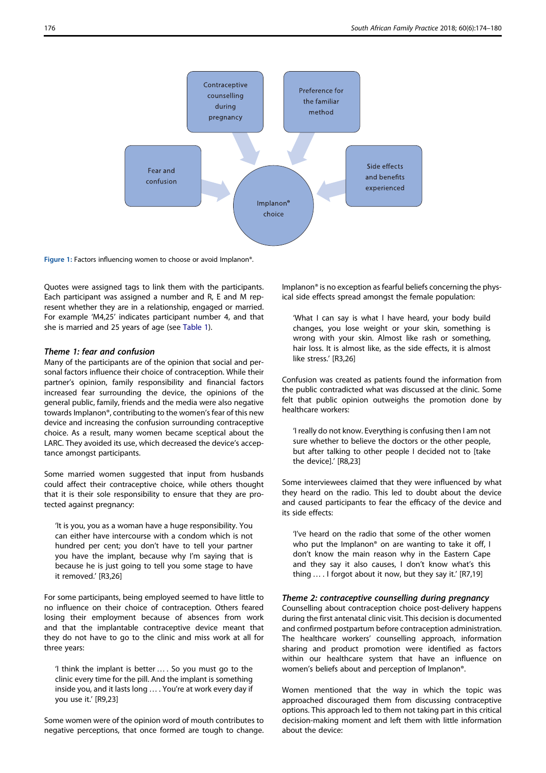<span id="page-2-0"></span>

Figure 1: Factors influencing women to choose or avoid Implanon®.

Quotes were assigned tags to link them with the participants. Each participant was assigned a number and R, E and M represent whether they are in a relationship, engaged or married. For example 'M4,25' indicates participant number 4, and that she is married and 25 years of age (see [Table 1](#page-3-0)).

#### Theme 1: fear and confusion

Many of the participants are of the opinion that social and personal factors influence their choice of contraception. While their partner's opinion, family responsibility and financial factors increased fear surrounding the device, the opinions of the general public, family, friends and the media were also negative towards Implanon®, contributing to the women's fear of this new device and increasing the confusion surrounding contraceptive choice. As a result, many women became sceptical about the LARC. They avoided its use, which decreased the device's acceptance amongst participants.

Some married women suggested that input from husbands could affect their contraceptive choice, while others thought that it is their sole responsibility to ensure that they are protected against pregnancy:

'It is you, you as a woman have a huge responsibility. You can either have intercourse with a condom which is not hundred per cent; you don't have to tell your partner you have the implant, because why I'm saying that is because he is just going to tell you some stage to have it removed.' [R3,26]

For some participants, being employed seemed to have little to no influence on their choice of contraception. Others feared losing their employment because of absences from work and that the implantable contraceptive device meant that they do not have to go to the clinic and miss work at all for three years:

'I think the implant is better … . So you must go to the clinic every time for the pill. And the implant is something inside you, and it lasts long … . You're at work every day if you use it.' [R9,23]

Some women were of the opinion word of mouth contributes to negative perceptions, that once formed are tough to change.

Implanon® is no exception as fearful beliefs concerning the physical side effects spread amongst the female population:

'What I can say is what I have heard, your body build changes, you lose weight or your skin, something is wrong with your skin. Almost like rash or something, hair loss. It is almost like, as the side effects, it is almost like stress.' [R3.26]

Confusion was created as patients found the information from the public contradicted what was discussed at the clinic. Some felt that public opinion outweighs the promotion done by healthcare workers:

'I really do not know. Everything is confusing then I am not sure whether to believe the doctors or the other people, but after talking to other people I decided not to [take the device].' [R8,23]

Some interviewees claimed that they were influenced by what they heard on the radio. This led to doubt about the device and caused participants to fear the efficacy of the device and its side effects:

'I've heard on the radio that some of the other women who put the Implanon® on are wanting to take it off, I don't know the main reason why in the Eastern Cape and they say it also causes, I don't know what's this thing … . I forgot about it now, but they say it.' [R7,19]

## Theme 2: contraceptive counselling during pregnancy

Counselling about contraception choice post-delivery happens during the first antenatal clinic visit. This decision is documented and confirmed postpartum before contraception administration. The healthcare workers' counselling approach, information sharing and product promotion were identified as factors within our healthcare system that have an influence on women's beliefs about and perception of Implanon®.

Women mentioned that the way in which the topic was approached discouraged them from discussing contraceptive options. This approach led to them not taking part in this critical decision-making moment and left them with little information about the device: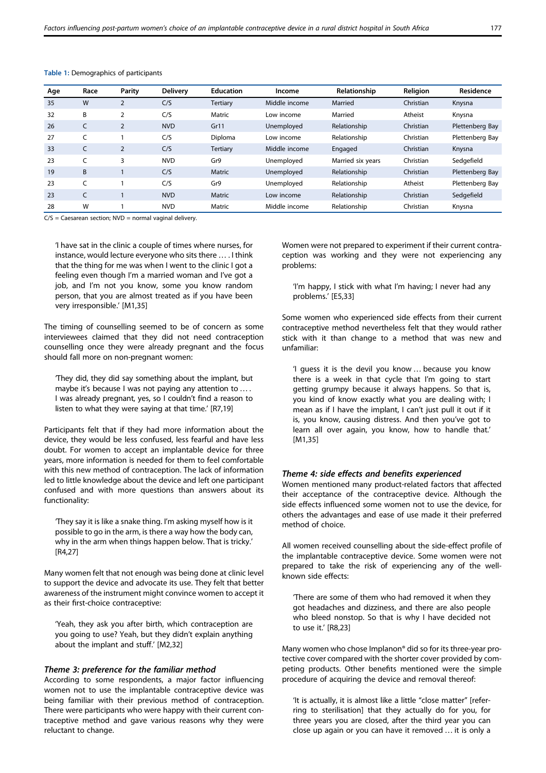| Age | Race | Parity         | <b>Delivery</b> | <b>Education</b> | Income        | Relationship      | Religion  | Residence       |
|-----|------|----------------|-----------------|------------------|---------------|-------------------|-----------|-----------------|
| 35  | W    | 2              | C/S             | <b>Tertiary</b>  | Middle income | Married           | Christian | Knysna          |
| 32  | B    | $\overline{2}$ | C/S             | Matric           | Low income    | Married           | Atheist   | Knysna          |
| 26  | C    | 2              | <b>NVD</b>      | Gr11             | Unemployed    | Relationship      | Christian | Plettenberg Bay |
| 27  | C    |                | C/S             | <b>Diploma</b>   | Low income    | Relationship      | Christian | Plettenberg Bay |
| 33  | C    | $\overline{2}$ | C/S             | <b>Tertiary</b>  | Middle income | Engaged           | Christian | Knysna          |
| 23  | C    | 3              | <b>NVD</b>      | Gr9              | Unemployed    | Married six years | Christian | Sedgefield      |
| 19  | B    |                | C/S             | Matric           | Unemployed    | Relationship      | Christian | Plettenberg Bay |
| 23  | C    |                | C/S             | Gr9              | Unemployed    | Relationship      | Atheist   | Plettenberg Bay |
| 23  | C    |                | <b>NVD</b>      | Matric           | Low income    | Relationship      | Christian | Sedgefield      |
| 28  | W    |                | <b>NVD</b>      | Matric           | Middle income | Relationship      | Christian | Knysna          |

#### <span id="page-3-0"></span>Table 1: Demographics of participants

 $C/S =$  Caesarean section; NVD = normal vaginal delivery.

'I have sat in the clinic a couple of times where nurses, for instance, would lecture everyone who sits there … . I think that the thing for me was when I went to the clinic I got a feeling even though I'm a married woman and I've got a job, and I'm not you know, some you know random person, that you are almost treated as if you have been very irresponsible.' [M1,35]

The timing of counselling seemed to be of concern as some interviewees claimed that they did not need contraception counselling once they were already pregnant and the focus should fall more on non-pregnant women:

'They did, they did say something about the implant, but maybe it's because I was not paying any attention to … . I was already pregnant, yes, so I couldn't find a reason to listen to what they were saying at that time.' [R7,19]

Participants felt that if they had more information about the device, they would be less confused, less fearful and have less doubt. For women to accept an implantable device for three years, more information is needed for them to feel comfortable with this new method of contraception. The lack of information led to little knowledge about the device and left one participant confused and with more questions than answers about its functionality:

'They say it is like a snake thing. I'm asking myself how is it possible to go in the arm, is there a way how the body can, why in the arm when things happen below. That is tricky.' [R4,27]

Many women felt that not enough was being done at clinic level to support the device and advocate its use. They felt that better awareness of the instrument might convince women to accept it as their first-choice contraceptive:

'Yeah, they ask you after birth, which contraception are you going to use? Yeah, but they didn't explain anything about the implant and stuff.' [M2,32]

## Theme 3: preference for the familiar method

According to some respondents, a major factor influencing women not to use the implantable contraceptive device was being familiar with their previous method of contraception. There were participants who were happy with their current contraceptive method and gave various reasons why they were reluctant to change.

Women were not prepared to experiment if their current contraception was working and they were not experiencing any problems:

'I'm happy, I stick with what I'm having; I never had any problems.' [E5,33]

Some women who experienced side effects from their current contraceptive method nevertheless felt that they would rather stick with it than change to a method that was new and unfamiliar:

'I guess it is the devil you know … because you know there is a week in that cycle that I'm going to start getting grumpy because it always happens. So that is, you kind of know exactly what you are dealing with; I mean as if I have the implant, I can't just pull it out if it is, you know, causing distress. And then you've got to learn all over again, you know, how to handle that.' [M1,35]

## Theme 4: side effects and benefits experienced

Women mentioned many product-related factors that affected their acceptance of the contraceptive device. Although the side effects influenced some women not to use the device, for others the advantages and ease of use made it their preferred method of choice.

All women received counselling about the side-effect profile of the implantable contraceptive device. Some women were not prepared to take the risk of experiencing any of the wellknown side effects:

'There are some of them who had removed it when they got headaches and dizziness, and there are also people who bleed nonstop. So that is why I have decided not to use it.' [R8,23]

Many women who chose Implanon® did so for its three-year protective cover compared with the shorter cover provided by competing products. Other benefits mentioned were the simple procedure of acquiring the device and removal thereof:

'It is actually, it is almost like a little "close matter" [referring to sterilisation] that they actually do for you, for three years you are closed, after the third year you can close up again or you can have it removed … it is only a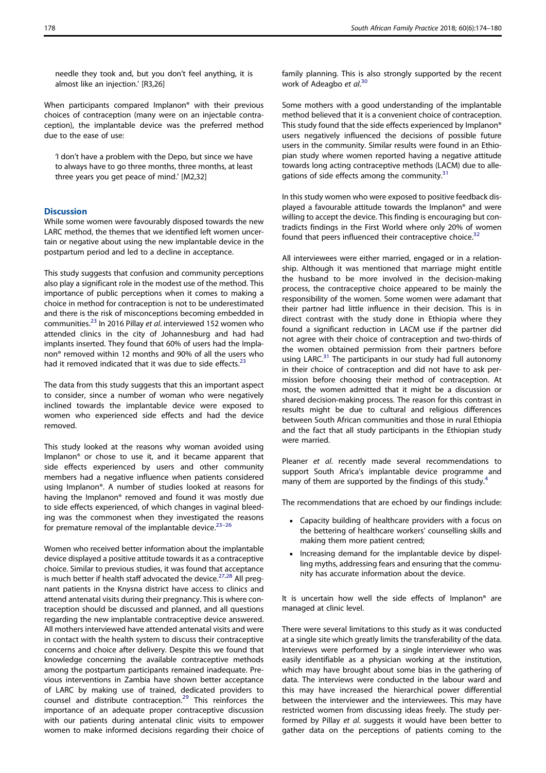<span id="page-4-0"></span>needle they took and, but you don't feel anything, it is almost like an injection.' [R3,26]

When participants compared Implanon® with their previous choices of contraception (many were on an injectable contraception), the implantable device was the preferred method due to the ease of use:

'I don't have a problem with the Depo, but since we have to always have to go three months, three months, at least three years you get peace of mind.' [M2,32]

### **Discussion**

While some women were favourably disposed towards the new LARC method, the themes that we identified left women uncertain or negative about using the new implantable device in the postpartum period and led to a decline in acceptance.

This study suggests that confusion and community perceptions also play a significant role in the modest use of the method. This importance of public perceptions when it comes to making a choice in method for contraception is not to be underestimated and there is the risk of misconceptions becoming embedded in communities.<sup>[23](#page-5-0)</sup> In 2016 Pillay et al. interviewed 152 women who attended clinics in the city of Johannesburg and had had implants inserted. They found that 60% of users had the Implanon® removed within 12 months and 90% of all the users who had it removed indicated that it was due to side effects. $^{23}$  $^{23}$  $^{23}$ 

The data from this study suggests that this an important aspect to consider, since a number of woman who were negatively inclined towards the implantable device were exposed to women who experienced side effects and had the device removed.

This study looked at the reasons why woman avoided using Implanon® or chose to use it, and it became apparent that side effects experienced by users and other community members had a negative influence when patients considered using Implanon®. A number of studies looked at reasons for having the Implanon® removed and found it was mostly due to side effects experienced, of which changes in vaginal bleeding was the commonest when they investigated the reasons for premature removal of the implantable device. $23-26$ 

Women who received better information about the implantable device displayed a positive attitude towards it as a contraceptive choice. Similar to previous studies, it was found that acceptance is much better if health staff advocated the device. $27,28$  $27,28$  All pregnant patients in the Knysna district have access to clinics and attend antenatal visits during their pregnancy. This is where contraception should be discussed and planned, and all questions regarding the new implantable contraceptive device answered. All mothers interviewed have attended antenatal visits and were in contact with the health system to discuss their contraceptive concerns and choice after delivery. Despite this we found that knowledge concerning the available contraceptive methods among the postpartum participants remained inadequate. Previous interventions in Zambia have shown better acceptance of LARC by making use of trained, dedicated providers to counsel and distribute contraception.<sup>[29](#page-5-0)</sup> This reinforces the importance of an adequate proper contraceptive discussion with our patients during antenatal clinic visits to empower women to make informed decisions regarding their choice of family planning. This is also strongly supported by the recent work of Adeagbo et al.<sup>[30](#page-5-0)</sup>

Some mothers with a good understanding of the implantable method believed that it is a convenient choice of contraception. This study found that the side effects experienced by Implanon® users negatively influenced the decisions of possible future users in the community. Similar results were found in an Ethiopian study where women reported having a negative attitude towards long acting contraceptive methods (LACM) due to alle-gations of side effects among the community.<sup>[31](#page-5-0)</sup>

In this study women who were exposed to positive feedback displayed a favourable attitude towards the Implanon® and were willing to accept the device. This finding is encouraging but contradicts findings in the First World where only 20% of women found that peers influenced their contraceptive choice. $32$ 

All interviewees were either married, engaged or in a relationship. Although it was mentioned that marriage might entitle the husband to be more involved in the decision-making process, the contraceptive choice appeared to be mainly the responsibility of the women. Some women were adamant that their partner had little influence in their decision. This is in direct contrast with the study done in Ethiopia where they found a significant reduction in LACM use if the partner did not agree with their choice of contraception and two-thirds of the women obtained permission from their partners before using LARC. $31$  The participants in our study had full autonomy in their choice of contraception and did not have to ask permission before choosing their method of contraception. At most, the women admitted that it might be a discussion or shared decision-making process. The reason for this contrast in results might be due to cultural and religious differences between South African communities and those in rural Ethiopia and the fact that all study participants in the Ethiopian study were married.

Pleaner et al. recently made several recommendations to support South Africa's implantable device programme and many of them are supported by the findings of this study.<sup>[4](#page-5-0)</sup>

The recommendations that are echoed by our findings include:

- . Capacity building of healthcare providers with a focus on the bettering of healthcare workers' counselling skills and making them more patient centred;
- . Increasing demand for the implantable device by dispelling myths, addressing fears and ensuring that the community has accurate information about the device.

It is uncertain how well the side effects of Implanon® are managed at clinic level.

There were several limitations to this study as it was conducted at a single site which greatly limits the transferability of the data. Interviews were performed by a single interviewer who was easily identifiable as a physician working at the institution, which may have brought about some bias in the gathering of data. The interviews were conducted in the labour ward and this may have increased the hierarchical power differential between the interviewer and the interviewees. This may have restricted women from discussing ideas freely. The study performed by Pillay et al. suggests it would have been better to gather data on the perceptions of patients coming to the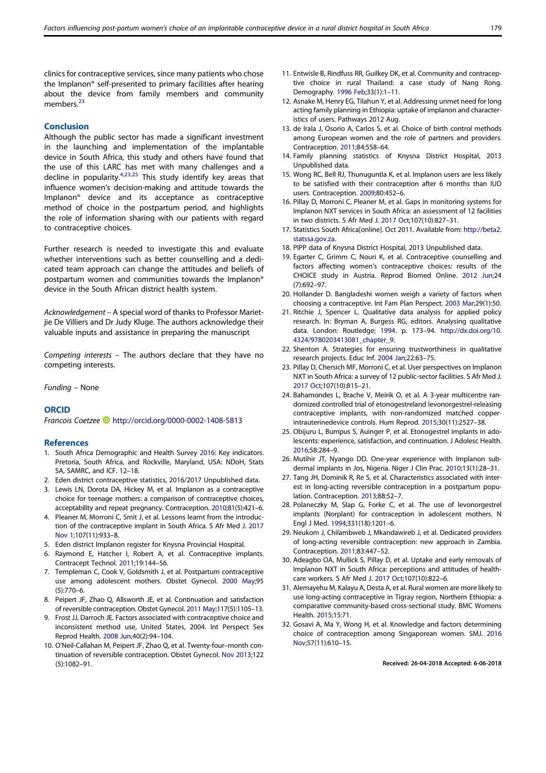<span id="page-5-0"></span>clinics for contraceptive services, since many patients who chose the Implanon® self-presented to primary facilities after hearing about the device from family members and community members.<sup>23</sup>

# Conclusion

Although the public sector has made a significant investment in the launching and implementation of the implantable device in South Africa, this study and others have found that the use of this LARC has met with many challenges and a decline in popularity.<sup>4,23,25</sup> This study identify key areas that influence women's decision-making and attitude towards the Implanon® device and its acceptance as contraceptive method of choice in the postpartum period, and highlights the role of information sharing with our patients with regard to contraceptive choices.

Further research is needed to investigate this and evaluate whether interventions such as better counselling and a dedicated team approach can change the attitudes and beliefs of postpartum women and communities towards the Implanon® device in the South African district health system.

Acknowledgement – A special word of thanks to Professor Marietjie De Villiers and Dr Judy Kluge. The authors acknowledge their valuable inputs and assistance in preparing the manuscript

Competing interests – The authors declare that they have no competing interests.

Funding – None

## ORCID

Francois Coetzee <http://orcid.org/0000-0002-1408-5813>

#### **References**

- 1. South Africa Demographic and Health Survey [2016](#page-0-0): Key indicators. Pretoria, South Africa, and Rockville, Maryland, USA: NDoH, Stats SA, SAMRC, and ICF. 12–18.
- 2. Eden district contraceptive statistics, 2016/2017 Unpublished data.
- Lewis LN, Dorota DA, Hickey M, et al. Implanon as a contraceptive choice for teenage mothers: a comparison of contraceptive choices, acceptability and repeat pregnancy. Contraception. [2010;](#page-0-0)81(5):421–6.
- 4. Pleaner M, Morroni C, Smit J, et al. Lessons learnt from the introduction of the contraceptive implant in South Africa. S Afr Med J. [2017](#page-0-0) [Nov 1](#page-0-0);107(11):933–8.
- 5. Eden district Implanon register for Knysna Provincial Hospital.
- 6. Raymond E, Hatcher I, Robert A, et al. Contraceptive implants. Contracept Technol. [2011](#page-0-0);19:144–56.
- 7. Templeman C, Cook V, Goldsmith J, et al. Postpartum contraceptive use among adolescent mothers. Obstet Gynecol. [2000 May;](#page-0-0)95 (5):770–6.
- 8. Peipert JF, Zhao Q, Allsworth JE, et al. Continuation and satisfaction of reversible contraception. Obstet Gynecol. 2011 May;117(5):1105–13.
- 9. Frost JJ, Darroch JE. Factors associated with contraceptive choice and inconsistent method use, United States, 2004. Int Perspect Sex Reprod Health. 2008 Jun;40(2):94–104.
- 10. O'Neil-Callahan M, Peipert JF, Zhao Q, et al. Twenty-four–month continuation of reversible contraception. Obstet Gynecol. [Nov 2013;](#page-0-0)122 (5):1082–91.
- 11. Entwisle B, Rindfuss RR, Guilkey DK, et al. Community and contraceptive choice in rural Thailand: a case study of Nang Rong. Demography. [1996 Feb](#page-0-0);33(1):1–11.
- 12. Asnake M, Henry EG, Tilahun Y, et al. Addressing unmet need for long acting family planning in Ethiopia: uptake of implanon and characteristics of users. Pathways 2012 Aug.
- 13. de Irala J, Osorio A, Carlos S, et al. Choice of birth control methods among European women and the role of partners and providers. Contraception. [2011;](#page-0-0)84:558–64.
- 14. Family planning statistics of Knysna District Hospital, 2013 Unpublished data.
- 15. Wong RC, Bell RJ, Thunuguntla K, et al. Implanon users are less likely to be satisfied with their contraception after 6 months than IUD users. Contraception. [2009;](#page-0-0)80:452–6.
- 16. Pillay D, Morroni C, Pleaner M, et al. Gaps in monitoring systems for Implanon NXT services in South Africa: an assessment of 12 facilities in two districts. S Afr Med J. [2017 Oct](#page-1-0);107(10):827–31.
- 17. Statistics South Africa[online]. Oct 2011. Available from: [http://beta2.](http://beta2.statssa.gov.za) [statssa.gov.za](http://beta2.statssa.gov.za).
- 18. PIPP data of Knysna District Hospital, 2013 Unpublished data.
- 19. Egarter C, Grimm C, Nouri K, et al. Contraceptive counselling and factors affecting women's contraceptive choices: results of the CHOICE study in Austria. Reprod Biomed Online. [2012 Jun](#page-1-0);24 (7):692–97.
- 20. Hollander D. Bangladeshi women weigh a variety of factors when choosing a contraceptive. Int Fam Plan Perspect. [2003 Mar;](#page-1-0)29(1):50.
- 21. Ritchie J, Spencer L. Qualitative data analysis for applied policy research. In: Bryman A, Burgess RG, editors. Analysing qualitative data. London: Routledge; [1994](#page-1-0). p. 173–94. [http://dx.doi.org/10.](http://dx.doi.org/10.4324/9780203413081_chapter_9) [4324/9780203413081\\_chapter\\_9](http://dx.doi.org/10.4324/9780203413081_chapter_9).
- 22. Shenton A. Strategies for ensuring trustworthiness in qualitative research projects. Educ Inf. [2004 Jan;](#page-1-0)22:63–75.
- 23. Pillay D, Chersich MF, Morroni C, et al. User perspectives on Implanon NXT in South Africa: a survey of 12 public-sector facilities. S Afr Med J. [2017 Oct](#page-4-0);107(10):815–21.
- 24. Bahamondes L, Brache V, Meirik O, et al. A 3-year multicentre randomized controlled trial of etonogestreland levonorgestrel-releasing contraceptive implants, with non-randomized matched copperintrauterinedevice controls. Hum Reprod. 2015;30(11):2527–38.
- 25. Obijuru L, Bumpus S, Auinger P, et al. Etonogestrel implants in adolescents: experience, satisfaction, and continuation. J Adolesc Health. 2016;58:284–9.
- 26. Mutihir JT, Nyango DD. One-year experience with Implanon subdermal implants in Jos, Nigeria. Niger J Clin Prac. 2010;13(1):28–31.
- 27. Tang JH, Dominik R, Re S, et al. Characteristics associated with interest in long-acting reversible contraception in a postpartum population. Contraception. [2013](#page-4-0);88:52–7.
- 28. Polaneczky M, Slap G, Forke C, et al. The use of levonorgestrel implants (Norplant) for contraception in adolescent mothers. N Engl J Med. [1994](#page-4-0);331(18):1201–6.
- 29. Neukom J, Chilambweb J, Mkandawireb J, et al. Dedicated providers of long-acting reversible contraception: new approach in Zambia. Contraception. [2011;](#page-4-0)83:447–52.
- 30. Adeagbo OA, Mullick S, Pillay D, et al. Uptake and early removals of Implanon NXT in South Africa: perceptions and attitudes of healthcare workers. S Afr Med J. [2017 Oct](#page-4-0);107(10):822–6.
- 31. Alemayehu M, Kalayu A, Desta A, et al. Rural women are more likely to use long-acting contraceptive in Tigray region, Northern Ethiopia: a comparative community-based cross-sectional study. BMC Womens Health. [2015;](#page-4-0)15:71.
- 32. Gosavi A, Ma Y, Wong H, et al. Knowledge and factors determining choice of contraception among Singaporean women. SMJ. [2016](#page-4-0) [Nov](#page-4-0);57(11):610–15.

Received: 26-04-2018 Accepted: 6-06-2018